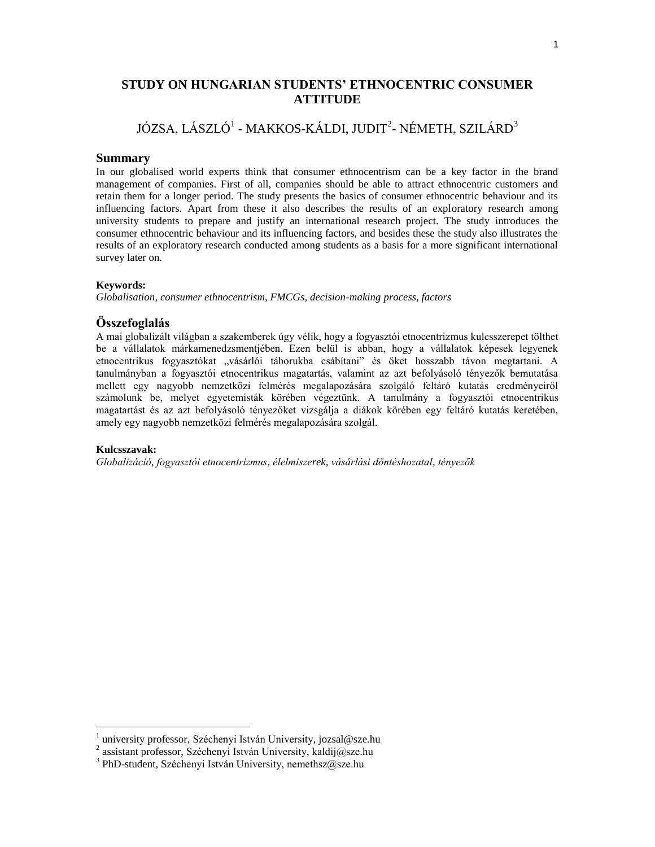# **STUDY ON HUNGARIAN STUDENTS' ETHNOCENTRIC CONSUMER ATTITUDE**

# JÓZSA, LÁSZLÓ<sup>1</sup> - MAKKOS-KÁLDI, JUDIT<sup>2</sup>- NÉMETH, SZILÁRD<sup>3</sup>

#### **Summary**

In our globalised world experts think that consumer ethnocentrism can be a key factor in the brand management of companies. First of all, companies should be able to attract ethnocentric customers and retain them for a longer period. The study presents the basics of consumer ethnocentric behaviour and its influencing factors. Apart from these it also describes the results of an exploratory research among university students to prepare and justify an international research project. The study introduces the consumer ethnocentric behaviour and its influencing factors, and besides these the study also illustrates the results of an exploratory research conducted among students as a basis for a more significant international survey later on.

#### **Keywords:**

*Globalisation, consumer ethnocentrism, FMCGs, decision-making process, factors*

#### **Összefoglalás**

A mai globalizált világban a szakemberek úgy vélik, hogy a fogyasztói etnocentrizmus kulcsszerepet tölthet be a vállalatok márkamenedzsmentjében. Ezen belül is abban, hogy a vállalatok képesek legyenek etnocentrikus fogyasztókat "vásárlói táborukba csábítani" és őket hosszabb távon megtartani. A tanulmányban a fogyasztói etnocentrikus magatartás, valamint az azt befolyásoló tényezők bemutatása mellett egy nagyobb nemzetközi felmérés megalapozására szolgáló feltáró kutatás eredményeiről számolunk be, melyet egyetemisták körében végeztünk. A tanulmány a fogyasztói etnocentrikus magatartást és az azt befolyásoló tényezőket vizsgálja a diákok körében egy feltáró kutatás keretében, amely egy nagyobb nemzetközi felmérés megalapozására szolgál.

#### **Kulcsszavak:**

*Globalizáció, fogyasztói etnocentrizmus, élelmiszerek, vásárlási döntéshozatal, tényezők*

 1 university professor, Széchenyi István University, jozsal@sze.hu

<sup>2</sup> assistant professor, Széchenyi István University, kaldij@sze.hu

<sup>&</sup>lt;sup>3</sup> PhD-student, Széchenyi István University, nemethsz@sze.hu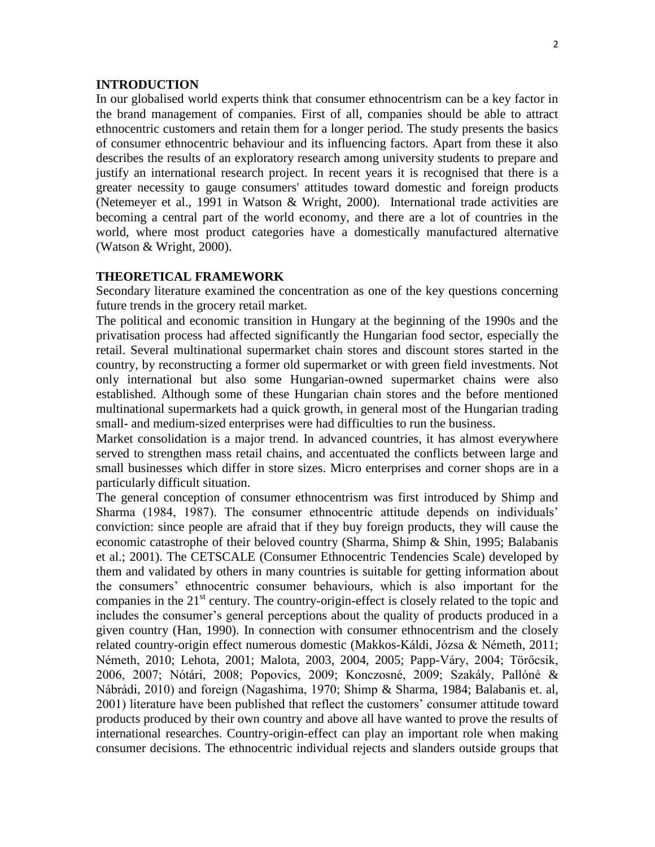#### **INTRODUCTION**

In our globalised world experts think that consumer ethnocentrism can be a key factor in the brand management of companies. First of all, companies should be able to attract ethnocentric customers and retain them for a longer period. The study presents the basics of consumer ethnocentric behaviour and its influencing factors. Apart from these it also describes the results of an exploratory research among university students to prepare and justify an international research project. In recent years it is recognised that there is a greater necessity to gauge consumers' attitudes toward domestic and foreign products (Netemeyer et al., 1991 in Watson & Wright, 2000). International trade activities are becoming a central part of the world economy, and there are a lot of countries in the world, where most product categories have a domestically manufactured alternative (Watson & Wright, 2000).

#### **THEORETICAL FRAMEWORK**

Secondary literature examined the concentration as one of the key questions concerning future trends in the grocery retail market.

The political and economic transition in Hungary at the beginning of the 1990s and the privatisation process had affected significantly the Hungarian food sector, especially the retail. Several multinational supermarket chain stores and discount stores started in the country, by reconstructing a former old supermarket or with green field investments. Not only international but also some Hungarian-owned supermarket chains were also established. Although some of these Hungarian chain stores and the before mentioned multinational supermarkets had a quick growth, in general most of the Hungarian trading small- and medium-sized enterprises were had difficulties to run the business.

Market consolidation is a major trend. In advanced countries, it has almost everywhere served to strengthen mass retail chains, and accentuated the conflicts between large and small businesses which differ in store sizes. Micro enterprises and corner shops are in a particularly difficult situation.

The general conception of consumer ethnocentrism was first introduced by Shimp and Sharma (1984, 1987). The consumer ethnocentric attitude depends on individuals' conviction: since people are afraid that if they buy foreign products, they will cause the economic catastrophe of their beloved country (Sharma, Shimp & Shin, 1995; Balabanis et al.; 2001). The CETSCALE (Consumer Ethnocentric Tendencies Scale) developed by them and validated by others in many countries is suitable for getting information about the consumers' ethnocentric consumer behaviours, which is also important for the companies in the  $21<sup>st</sup>$  century. The country-origin-effect is closely related to the topic and includes the consumer's general perceptions about the quality of products produced in a given country (Han, 1990). In connection with consumer ethnocentrism and the closely related country-origin effect numerous domestic (Makkos-Káldi, Józsa & Németh, 2011; Németh, 2010; Lehota, 2001; Malota, 2003, 2004, 2005; Papp-Váry, 2004; Törőcsik, 2006, 2007; Nótári, 2008; Popovics, 2009; Konczosné, 2009; Szakály, Pallóné & Nábrádi, 2010) and foreign (Nagashima, 1970; Shimp & Sharma, 1984; Balabanis et. al, 2001) literature have been published that reflect the customers' consumer attitude toward products produced by their own country and above all have wanted to prove the results of international researches. Country-origin-effect can play an important role when making consumer decisions. The ethnocentric individual rejects and slanders outside groups that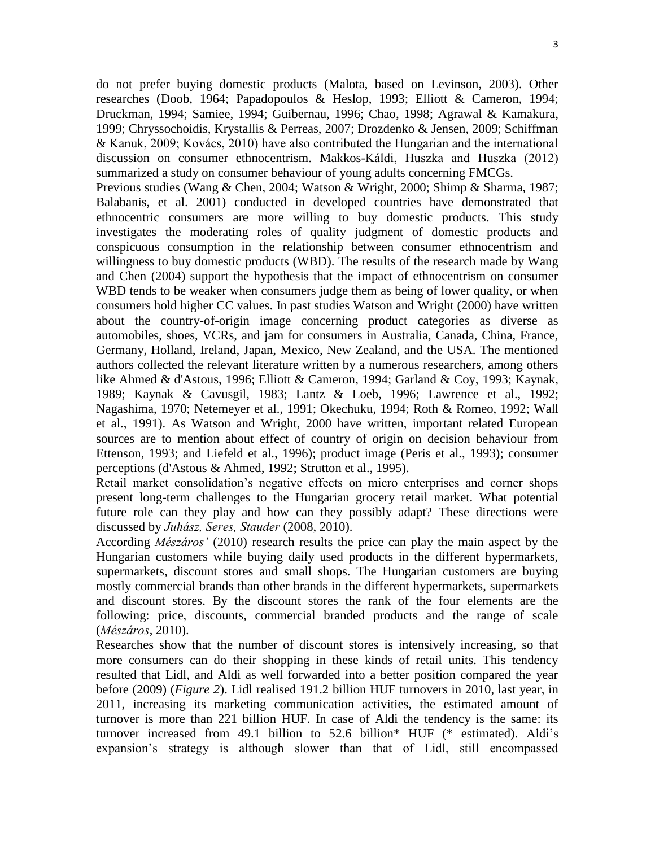do not prefer buying domestic products (Malota, based on Levinson, 2003). Other researches (Doob, 1964; Papadopoulos & Heslop, 1993; Elliott & Cameron, 1994; Druckman, 1994; Samiee, 1994; Guibernau, 1996; Chao, 1998; Agrawal & Kamakura, 1999; Chryssochoidis, Krystallis & Perreas, 2007; Drozdenko & Jensen, 2009; Schiffman & Kanuk, 2009; Kovács, 2010) have also contributed the Hungarian and the international discussion on consumer ethnocentrism. Makkos-Káldi, Huszka and Huszka (2012) summarized a study on consumer behaviour of young adults concerning FMCGs.

Previous studies (Wang & Chen, 2004; Watson & Wright, 2000; Shimp & Sharma, 1987; Balabanis, et al. 2001) conducted in developed countries have demonstrated that ethnocentric consumers are more willing to buy domestic products. This study investigates the moderating roles of quality judgment of domestic products and conspicuous consumption in the relationship between consumer ethnocentrism and willingness to buy domestic products (WBD). The results of the research made by Wang and Chen (2004) support the hypothesis that the impact of ethnocentrism on consumer WBD tends to be weaker when consumers judge them as being of lower quality, or when consumers hold higher CC values. In past studies Watson and Wright (2000) have written about the country-of-origin image concerning product categories as diverse as automobiles, shoes, VCRs, and jam for consumers in Australia, Canada, China, France, Germany, Holland, Ireland, Japan, Mexico, New Zealand, and the USA. The mentioned authors collected the relevant literature written by a numerous researchers, among others like Ahmed & d'Astous, 1996; Elliott & Cameron, 1994; Garland & Coy, 1993; Kaynak, 1989; Kaynak & Cavusgil, 1983; Lantz & Loeb, 1996; Lawrence et al., 1992; Nagashima, 1970; Netemeyer et al., 1991; Okechuku, 1994; Roth & Romeo, 1992; Wall et al., 1991). As Watson and Wright, 2000 have written, important related European sources are to mention about effect of country of origin on decision behaviour from Ettenson, 1993; and Liefeld et al., 1996); product image (Peris et al., 1993); consumer perceptions (d'Astous & Ahmed, 1992; Strutton et al., 1995).

Retail market consolidation's negative effects on micro enterprises and corner shops present long-term challenges to the Hungarian grocery retail market. What potential future role can they play and how can they possibly adapt? These directions were discussed by *Juhász, Seres, Stauder* (2008, 2010).

According *Mészáros'* (2010) research results the price can play the main aspect by the Hungarian customers while buying daily used products in the different hypermarkets, supermarkets, discount stores and small shops. The Hungarian customers are buying mostly commercial brands than other brands in the different hypermarkets, supermarkets and discount stores. By the discount stores the rank of the four elements are the following: price, discounts, commercial branded products and the range of scale (*Mészáros*, 2010).

Researches show that the number of discount stores is intensively increasing, so that more consumers can do their shopping in these kinds of retail units. This tendency resulted that Lidl, and Aldi as well forwarded into a better position compared the year before (2009) (*Figure 2*). Lidl realised 191.2 billion HUF turnovers in 2010, last year, in 2011, increasing its marketing communication activities, the estimated amount of turnover is more than 221 billion HUF. In case of Aldi the tendency is the same: its turnover increased from 49.1 billion to 52.6 billion\* HUF (\* estimated). Aldi's expansion's strategy is although slower than that of Lidl, still encompassed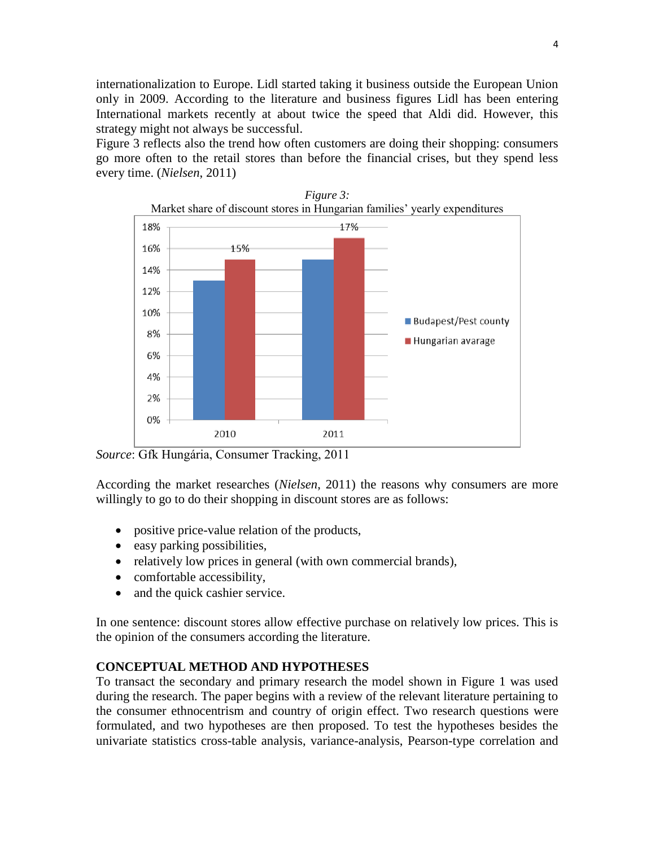internationalization to Europe. Lidl started taking it business outside the European Union only in 2009. According to the literature and business figures Lidl has been entering International markets recently at about twice the speed that Aldi did. However, this strategy might not always be successful.

Figure 3 reflects also the trend how often customers are doing their shopping: consumers go more often to the retail stores than before the financial crises, but they spend less every time. (*Nielsen*, 2011)



*Source*: Gfk Hungária, Consumer Tracking, 2011

According the market researches (*Nielsen*, 2011) the reasons why consumers are more willingly to go to do their shopping in discount stores are as follows:

- positive price-value relation of the products,
- easy parking possibilities,
- relatively low prices in general (with own commercial brands),
- comfortable accessibility,
- and the quick cashier service.

In one sentence: discount stores allow effective purchase on relatively low prices. This is the opinion of the consumers according the literature.

### **CONCEPTUAL METHOD AND HYPOTHESES**

To transact the secondary and primary research the model shown in Figure 1 was used during the research. The paper begins with a review of the relevant literature pertaining to the consumer ethnocentrism and country of origin effect. Two research questions were formulated, and two hypotheses are then proposed. To test the hypotheses besides the univariate statistics cross-table analysis, variance-analysis, Pearson-type correlation and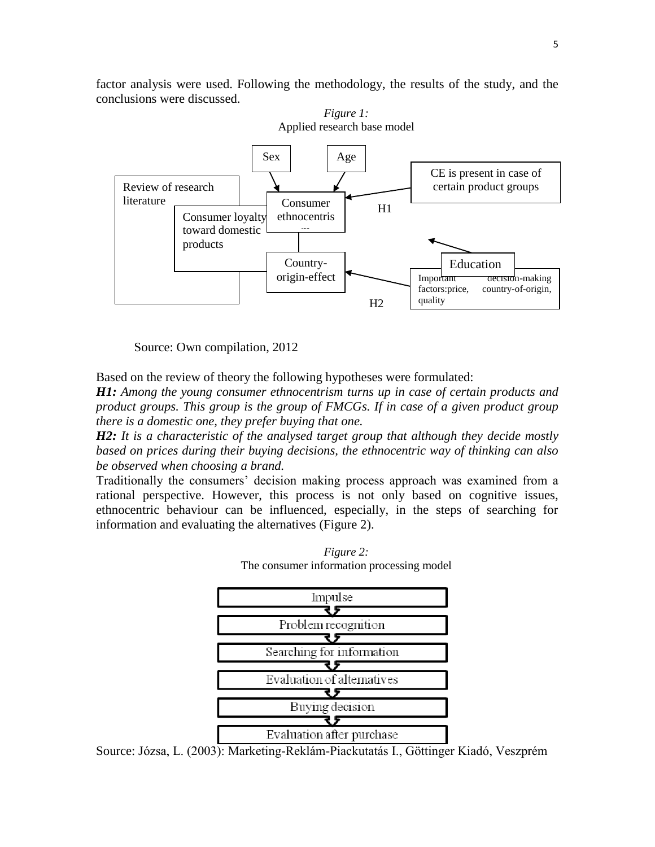factor analysis were used. Following the methodology, the results of the study, and the conclusions were discussed.



Source: Own compilation, 2012

Based on the review of theory the following hypotheses were formulated:

*H1: Among the young consumer ethnocentrism turns up in case of certain products and product groups. This group is the group of FMCGs. If in case of a given product group there is a domestic one, they prefer buying that one.* 

*H2: It is a characteristic of the analysed target group that although they decide mostly based on prices during their buying decisions, the ethnocentric way of thinking can also be observed when choosing a brand.* 

Traditionally the consumers' decision making process approach was examined from a rational perspective. However, this process is not only based on cognitive issues, ethnocentric behaviour can be influenced, especially, in the steps of searching for information and evaluating the alternatives (Figure 2).

> *Figure 2:*  The consumer information processing model



Source: Józsa, L. (2003): Marketing-Reklám-Piackutatás I., Göttinger Kiadó, Veszprém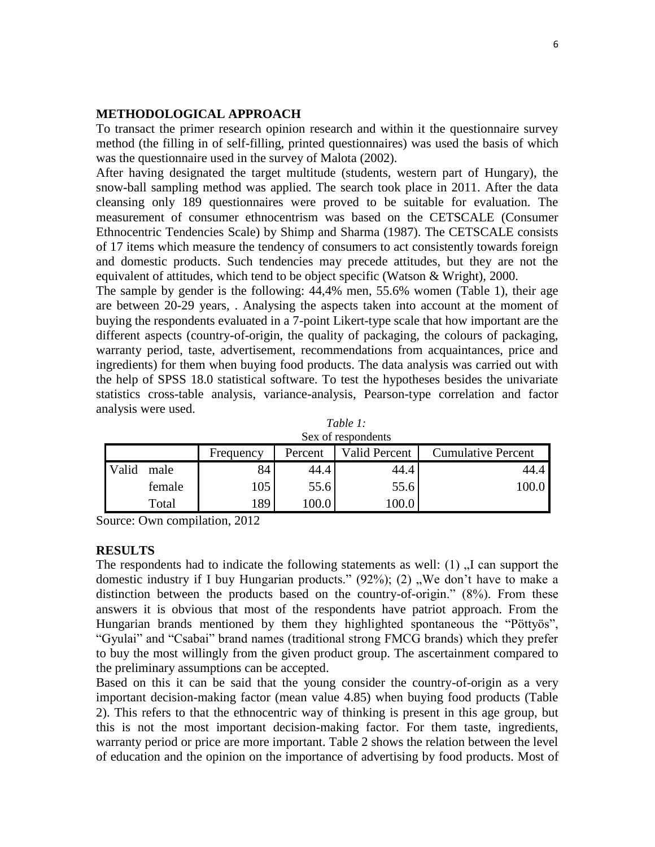### **METHODOLOGICAL APPROACH**

To transact the primer research opinion research and within it the questionnaire survey method (the filling in of self-filling, printed questionnaires) was used the basis of which was the questionnaire used in the survey of Malota (2002).

After having designated the target multitude (students, western part of Hungary), the snow-ball sampling method was applied. The search took place in 2011. After the data cleansing only 189 questionnaires were proved to be suitable for evaluation. The measurement of consumer ethnocentrism was based on the CETSCALE (Consumer Ethnocentric Tendencies Scale) by Shimp and Sharma (1987). The CETSCALE consists of 17 items which measure the tendency of consumers to act consistently towards foreign and domestic products. Such tendencies may precede attitudes, but they are not the equivalent of attitudes, which tend to be object specific (Watson & Wright), 2000.

The sample by gender is the following: 44,4% men, 55.6% women (Table 1), their age are between 20-29 years, . Analysing the aspects taken into account at the moment of buying the respondents evaluated in a 7-point Likert-type scale that how important are the different aspects (country-of-origin, the quality of packaging, the colours of packaging, warranty period, taste, advertisement, recommendations from acquaintances, price and ingredients) for them when buying food products. The data analysis was carried out with the help of SPSS 18.0 statistical software. To test the hypotheses besides the univariate statistics cross-table analysis, variance-analysis, Pearson-type correlation and factor analysis were used.

|       | Dea of respondents |           |         |               |                           |  |  |  |  |  |  |
|-------|--------------------|-----------|---------|---------------|---------------------------|--|--|--|--|--|--|
|       |                    | Frequency | Percent | Valid Percent | <b>Cumulative Percent</b> |  |  |  |  |  |  |
| Valid | male               | 84        | 44.4    | 44.4          | 44.4                      |  |  |  |  |  |  |
|       | female             | 105       | 55.6    | 55.6          | 100.0                     |  |  |  |  |  |  |
|       | Total              | 189       | 100.0   |               |                           |  |  |  |  |  |  |

*Table 1:*  Sex of respondents

Source: Own compilation, 2012

#### **RESULTS**

The respondents had to indicate the following statements as well:  $(1)$ , I can support the domestic industry if I buy Hungarian products."  $(92\%)$ ;  $(2)$ , We don't have to make a distinction between the products based on the country-of-origin." (8%). From these answers it is obvious that most of the respondents have patriot approach. From the Hungarian brands mentioned by them they highlighted spontaneous the "Pöttyös", "Gyulai" and "Csabai" brand names (traditional strong FMCG brands) which they prefer to buy the most willingly from the given product group. The ascertainment compared to the preliminary assumptions can be accepted.

Based on this it can be said that the young consider the country-of-origin as a very important decision-making factor (mean value 4.85) when buying food products (Table 2). This refers to that the ethnocentric way of thinking is present in this age group, but this is not the most important decision-making factor. For them taste, ingredients, warranty period or price are more important. Table 2 shows the relation between the level of education and the opinion on the importance of advertising by food products. Most of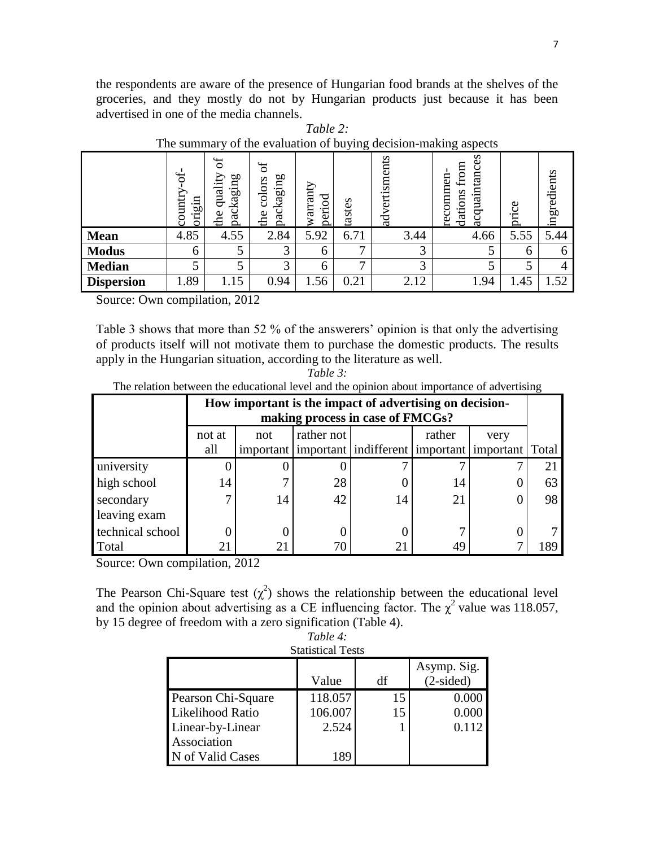the respondents are aware of the presence of Hungarian food brands at the shelves of the groceries, and they mostly do not by Hungarian products just because it has been advertised in one of the media channels.

| $\cdots$ $\cdots$<br>of the evaluation of ought, accident maning aspects |                                          |                                      |                                             |                    |                 |                  |                                              |       |             |  |
|--------------------------------------------------------------------------|------------------------------------------|--------------------------------------|---------------------------------------------|--------------------|-----------------|------------------|----------------------------------------------|-------|-------------|--|
|                                                                          | $\frac{1}{\sqrt{2}}$<br>origin<br>Ē<br>Ō | ð<br>ρО<br>qualit<br>packagin<br>the | $\sigma$<br>kaging<br>colors<br>pacl<br>thе | warranty<br>period | tastes          | vertisments<br>ಇ | acquaintances<br>from<br>recommen<br>dations | price | ingredients |  |
| <b>Mean</b>                                                              | 4.85                                     | 4.55                                 | 2.84                                        | 5.92               | 6.71            | 3.44             | 4.66                                         | 5.55  | 5.44        |  |
| <b>Modus</b>                                                             | 6                                        | 5                                    | っ                                           | <sub>0</sub>       | −               | 3                | ر                                            | 6     | 6           |  |
| <b>Median</b>                                                            |                                          | 5                                    | $\mathbf{\Omega}$                           | 6                  | $\mathbf{\tau}$ | 3                | 5                                            |       | 4           |  |
| <b>Dispersion</b>                                                        | 1.89                                     | 1.15                                 | 0.94                                        | .56                | 0.21            | 2.12             | 1.94                                         | 1.45  | 1.52        |  |

| Table 2:                                                        |
|-----------------------------------------------------------------|
| The summary of the evaluation of buying decision-making aspects |

Source: Own compilation, 2012

Table 3 shows that more than 52 % of the answerers' opinion is that only the advertising of products itself will not motivate them to purchase the domestic products. The results apply in the Hungarian situation, according to the literature as well.

*Table 3:*  The relation between the educational level and the opinion about importance of advertising

|                  | How important is the impact of advertising on decision-<br>making process in case of FMCGs? |                                     |    |                                                                     |    |  |    |  |  |  |  |  |
|------------------|---------------------------------------------------------------------------------------------|-------------------------------------|----|---------------------------------------------------------------------|----|--|----|--|--|--|--|--|
|                  | not at                                                                                      | rather not<br>rather<br>not<br>very |    |                                                                     |    |  |    |  |  |  |  |  |
|                  | all                                                                                         |                                     |    | important   important   indifferent   important   important   Total |    |  |    |  |  |  |  |  |
| university       |                                                                                             |                                     |    |                                                                     |    |  |    |  |  |  |  |  |
| high school      | 14                                                                                          |                                     | 28 |                                                                     | 14 |  | 63 |  |  |  |  |  |
| secondary        |                                                                                             | 14                                  | 42 | 14                                                                  | 21 |  | 98 |  |  |  |  |  |
| leaving exam     |                                                                                             |                                     |    |                                                                     |    |  |    |  |  |  |  |  |
| technical school |                                                                                             |                                     |    |                                                                     |    |  |    |  |  |  |  |  |
| Total            |                                                                                             | 21                                  |    |                                                                     | 49 |  | 89 |  |  |  |  |  |

Source: Own compilation, 2012

The Pearson Chi-Square test  $(\chi^2)$  shows the relationship between the educational level and the opinion about advertising as a CE influencing factor. The  $\chi^2$  value was 118.057, by 15 degree of freedom with a zero signification (Table 4). *Table 4:* 

| <b>Statistical Tests</b> |         |    |                            |  |  |  |  |  |
|--------------------------|---------|----|----------------------------|--|--|--|--|--|
|                          | Value   | df | Asymp. Sig.<br>$(2-sided)$ |  |  |  |  |  |
| Pearson Chi-Square       | 118.057 | 15 | 0.000                      |  |  |  |  |  |
| Likelihood Ratio         | 106.007 | 15 | 0.000                      |  |  |  |  |  |
| Linear-by-Linear         | 2.524   |    | 0.112                      |  |  |  |  |  |
| Association              |         |    |                            |  |  |  |  |  |
| N of Valid Cases         | 189     |    |                            |  |  |  |  |  |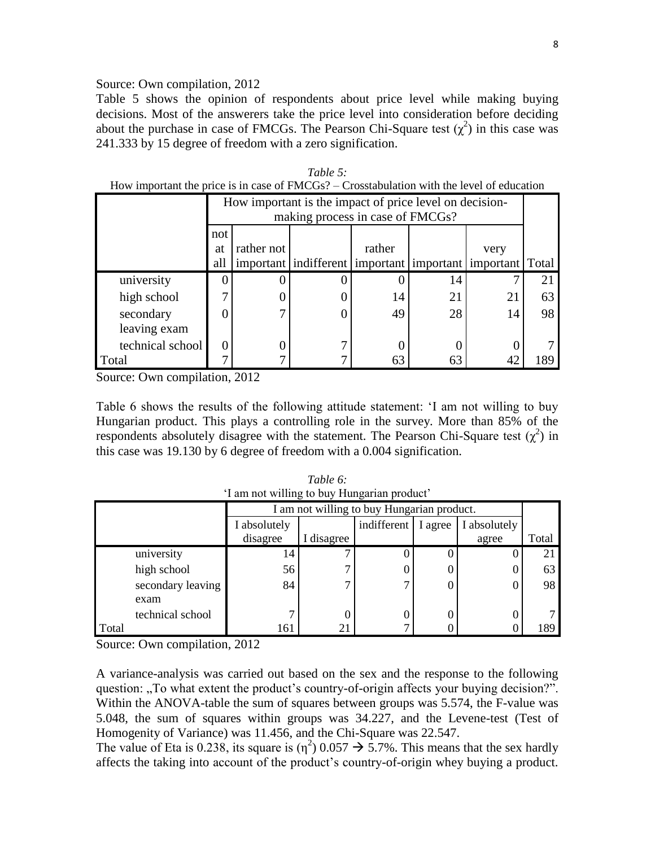#### Source: Own compilation, 2012

Table 5 shows the opinion of respondents about price level while making buying decisions. Most of the answerers take the price level into consideration before deciding about the purchase in case of FMCGs. The Pearson Chi-Square test  $(\chi^2)$  in this case was 241.333 by 15 degree of freedom with a zero signification.

|                           |           | How important is the impact of price level on decision-<br>making process in case of FMCGs? |                                                                     |        |    |      |     |  |  |  |  |
|---------------------------|-----------|---------------------------------------------------------------------------------------------|---------------------------------------------------------------------|--------|----|------|-----|--|--|--|--|
|                           | not<br>at | rather not                                                                                  |                                                                     | rather |    | very |     |  |  |  |  |
|                           | all       |                                                                                             | important   indifferent   important   important   important   Total |        |    |      |     |  |  |  |  |
| university                |           |                                                                                             |                                                                     |        | 14 |      | 21  |  |  |  |  |
| high school               |           |                                                                                             |                                                                     | 14     | 21 | 21   | 63  |  |  |  |  |
| secondary<br>leaving exam |           |                                                                                             |                                                                     | 49     | 28 | 14   | 98  |  |  |  |  |
| technical school          |           |                                                                                             |                                                                     |        |    |      |     |  |  |  |  |
| Total                     |           |                                                                                             |                                                                     | 63     | 63 |      | 189 |  |  |  |  |

|  |  | Table 5: |                                                                                               |  |  |
|--|--|----------|-----------------------------------------------------------------------------------------------|--|--|
|  |  |          | How important the price is in case of $FMCGs$ ? – Crosstabulation with the level of education |  |  |

Source: Own compilation, 2012

Table 6 shows the results of the following attitude statement: 'I am not willing to buy Hungarian product. This plays a controlling role in the survey. More than 85% of the respondents absolutely disagree with the statement. The Pearson Chi-Square test  $(\chi^2)$  in this case was 19.130 by 6 degree of freedom with a 0.004 signification.

| $\ldots$ |                   |              |                                            |             |         |              |       |  |  |  |  |
|----------|-------------------|--------------|--------------------------------------------|-------------|---------|--------------|-------|--|--|--|--|
|          |                   |              | I am not willing to buy Hungarian product. |             |         |              |       |  |  |  |  |
|          |                   | I absolutely |                                            | indifferent | I agree | I absolutely |       |  |  |  |  |
|          |                   | disagree     | disagree                                   |             |         | agree        | Total |  |  |  |  |
|          | university        | 14           |                                            |             |         |              |       |  |  |  |  |
|          | high school       | 56           | ⇁                                          | U           |         |              | 63    |  |  |  |  |
|          | secondary leaving | 84           | ⇁                                          | 7           |         |              | 98    |  |  |  |  |
|          | exam              |              |                                            |             |         |              |       |  |  |  |  |
|          | technical school  |              |                                            | I)          |         |              |       |  |  |  |  |
| Total    |                   | 161          | 21                                         |             |         |              | 189   |  |  |  |  |

*Table 6:* 'I am not willing to buy Hungarian product'

Source: Own compilation, 2012

A variance-analysis was carried out based on the sex and the response to the following question: "To what extent the product's country-of-origin affects your buying decision?". Within the ANOVA-table the sum of squares between groups was 5.574, the F-value was 5.048, the sum of squares within groups was 34.227, and the Levene-test (Test of Homogenity of Variance) was 11.456, and the Chi-Square was 22.547.

The value of Eta is 0.238, its square is  $(\eta^2)$  0.057  $\rightarrow$  5.7%. This means that the sex hardly affects the taking into account of the product's country-of-origin whey buying a product.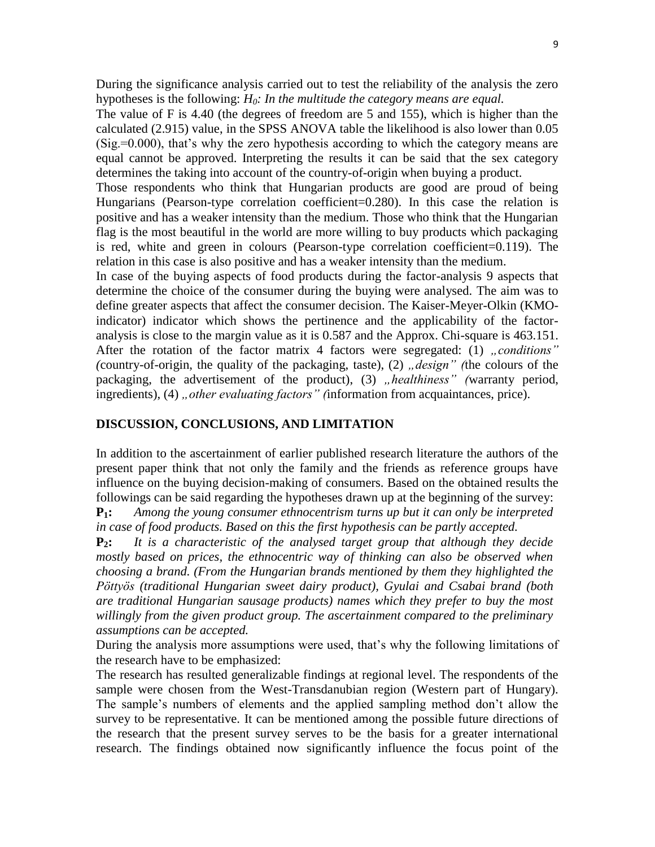During the significance analysis carried out to test the reliability of the analysis the zero hypotheses is the following: *H0: In the multitude the category means are equal.* 

The value of F is 4.40 (the degrees of freedom are 5 and 155), which is higher than the calculated (2.915) value, in the SPSS ANOVA table the likelihood is also lower than 0.05 (Sig.=0.000), that's why the zero hypothesis according to which the category means are equal cannot be approved. Interpreting the results it can be said that the sex category determines the taking into account of the country-of-origin when buying a product.

Those respondents who think that Hungarian products are good are proud of being Hungarians (Pearson-type correlation coefficient=0.280). In this case the relation is positive and has a weaker intensity than the medium. Those who think that the Hungarian flag is the most beautiful in the world are more willing to buy products which packaging is red, white and green in colours (Pearson-type correlation coefficient=0.119). The relation in this case is also positive and has a weaker intensity than the medium.

In case of the buying aspects of food products during the factor-analysis 9 aspects that determine the choice of the consumer during the buying were analysed. The aim was to define greater aspects that affect the consumer decision. The Kaiser-Meyer-Olkin (KMOindicator) indicator which shows the pertinence and the applicability of the factoranalysis is close to the margin value as it is 0.587 and the Approx. Chi-square is 463.151. After the rotation of the factor matrix 4 factors were segregated: (1) *..conditions*" *(country-of-origin, the quality of the packaging, taste), (2) <i>design* the colours of the packaging, the advertisement of the product), (3) *"healthiness*" (warranty period, ingredients), (4) *, other evaluating factors* " *(information from acquaintances, price)*.

### **DISCUSSION, CONCLUSIONS, AND LIMITATION**

In addition to the ascertainment of earlier published research literature the authors of the present paper think that not only the family and the friends as reference groups have influence on the buying decision-making of consumers. Based on the obtained results the followings can be said regarding the hypotheses drawn up at the beginning of the survey:

**P1:** *Among the young consumer ethnocentrism turns up but it can only be interpreted in case of food products. Based on this the first hypothesis can be partly accepted.*

**P2:** *It is a characteristic of the analysed target group that although they decide mostly based on prices, the ethnocentric way of thinking can also be observed when choosing a brand. (From the Hungarian brands mentioned by them they highlighted the Pöttyös (traditional Hungarian sweet dairy product), Gyulai and Csabai brand (both are traditional Hungarian sausage products) names which they prefer to buy the most willingly from the given product group. The ascertainment compared to the preliminary assumptions can be accepted.* 

During the analysis more assumptions were used, that's why the following limitations of the research have to be emphasized:

The research has resulted generalizable findings at regional level. The respondents of the sample were chosen from the West-Transdanubian region (Western part of Hungary). The sample's numbers of elements and the applied sampling method don't allow the survey to be representative. It can be mentioned among the possible future directions of the research that the present survey serves to be the basis for a greater international research. The findings obtained now significantly influence the focus point of the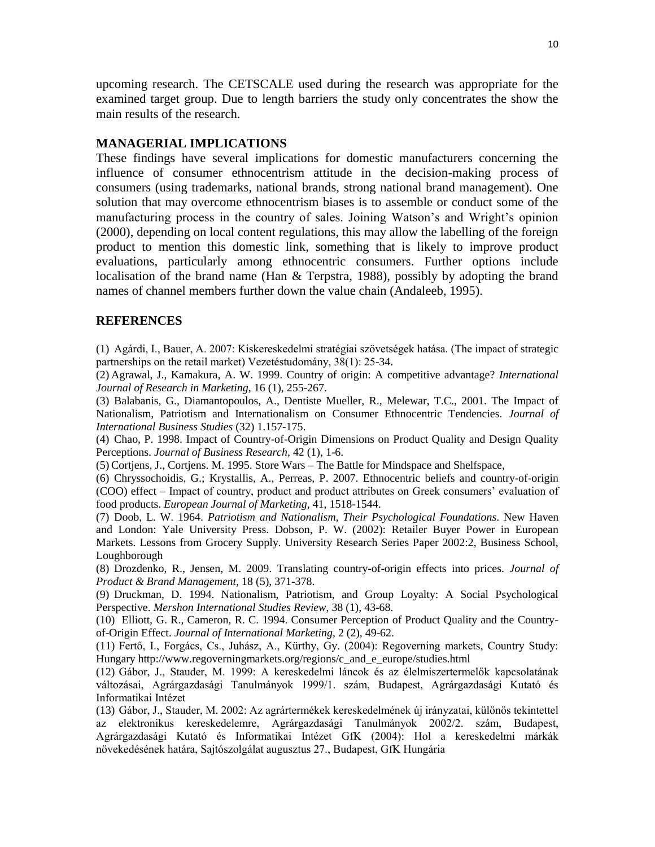upcoming research. The CETSCALE used during the research was appropriate for the examined target group. Due to length barriers the study only concentrates the show the main results of the research.

# **MANAGERIAL IMPLICATIONS**

These findings have several implications for domestic manufacturers concerning the influence of consumer ethnocentrism attitude in the decision-making process of consumers (using trademarks, national brands, strong national brand management). One solution that may overcome ethnocentrism biases is to assemble or conduct some of the manufacturing process in the country of sales. Joining Watson's and Wright's opinion (2000), depending on local content regulations, this may allow the labelling of the foreign product to mention this domestic link, something that is likely to improve product evaluations, particularly among ethnocentric consumers. Further options include localisation of the brand name (Han & Terpstra, 1988), possibly by adopting the brand names of channel members further down the value chain (Andaleeb, 1995).

#### **REFERENCES**

(1) Agárdi, I., Bauer, A. 2007: Kiskereskedelmi stratégiai szövetségek hatása. (The impact of strategic partnerships on the retail market) Vezetéstudomány, 38(1): 25-34.

(2) Agrawal, J., Kamakura, A. W. 1999. Country of origin: A competitive advantage? *International Journal of Research in Marketing*, 16 (1), 255-267.

(3) Balabanis, G., Diamantopoulos, A., Dentiste Mueller, R., Melewar, T.C., 2001. The Impact of Nationalism, Patriotism and Internationalism on Consumer Ethnocentric Tendencies. *Journal of International Business Studies* (32) 1.157-175.

(4) Chao, P. 1998. Impact of Country-of-Origin Dimensions on Product Quality and Design Quality Perceptions. *Journal of Business Research*, 42 (1), 1-6.

(5) Cortjens, J., Cortjens. M. 1995. Store Wars – The Battle for Mindspace and Shelfspace,

(6) Chryssochoidis, G.; Krystallis, A., Perreas, P. 2007. Ethnocentric beliefs and country-of-origin (COO) effect – Impact of country, product and product attributes on Greek consumers' evaluation of food products. *European Journal of Marketing*, 41, 1518-1544.

(7) Doob, L. W. 1964. *Patriotism and Nationalism, Their Psychological Foundations*. New Haven and London: Yale University Press. Dobson, P. W. (2002): Retailer Buyer Power in European Markets. Lessons from Grocery Supply. University Research Series Paper 2002:2, Business School, Loughborough

(8) Drozdenko, R., Jensen, M. 2009. Translating country-of-origin effects into prices. *Journal of Product & Brand Management*, 18 (5), 371-378.

(9) Druckman, D. 1994. Nationalism, Patriotism, and Group Loyalty: A Social Psychological Perspective. *Mershon International Studies Review*, 38 (1), 43-68.

(10) Elliott, G. R., Cameron, R. C. 1994. Consumer Perception of Product Quality and the Countryof-Origin Effect. *Journal of International Marketing*, 2 (2), 49-62.

(11) Fertő, I., Forgács, Cs., Juhász, A., Kürthy, Gy. (2004): Regoverning markets, Country Study: Hungary http://www.regoverningmarkets.org/regions/c\_and\_e\_europe/studies.html

(12) Gábor, J., Stauder, M. 1999: A kereskedelmi láncok és az élelmiszertermelők kapcsolatának változásai, Agrárgazdasági Tanulmányok 1999/1. szám, Budapest, Agrárgazdasági Kutató és Informatikai Intézet

(13) Gábor, J., Stauder, M. 2002: Az agrártermékek kereskedelmének új irányzatai, különös tekintettel az elektronikus kereskedelemre, Agrárgazdasági Tanulmányok 2002/2. szám, Budapest, Agrárgazdasági Kutató és Informatikai Intézet GfK (2004): Hol a kereskedelmi márkák növekedésének határa, Sajtószolgálat augusztus 27., Budapest, GfK Hungária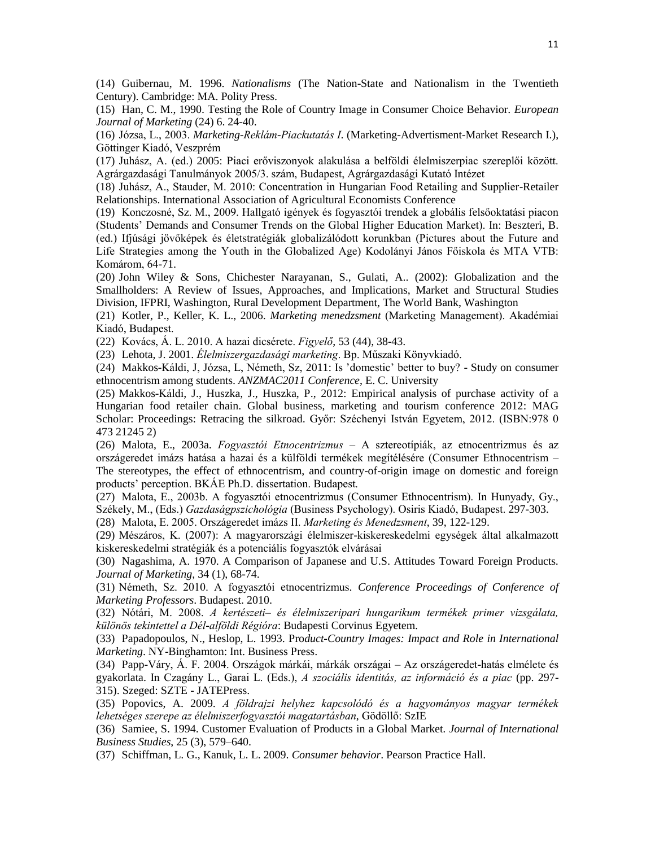(14) Guibernau, M. 1996. *Nationalisms* (The Nation-State and Nationalism in the Twentieth Century). Cambridge: MA. Polity Press.

(15) Han, C. M., 1990. Testing the Role of Country Image in Consumer Choice Behavior. *European Journal of Marketing* (24) 6. 24-40.

(16) Józsa, L., 2003. *Marketing-Reklám-Piackutatás I*. (Marketing-Advertisment-Market Research I.), Göttinger Kiadó, Veszprém

(17) Juhász, A. (ed.) 2005: Piaci erőviszonyok alakulása a belföldi élelmiszerpiac szereplői között. Agrárgazdasági Tanulmányok 2005/3. szám, Budapest, Agrárgazdasági Kutató Intézet

(18) Juhász, A., Stauder, M. 2010: Concentration in Hungarian Food Retailing and Supplier-Retailer Relationships. International Association of Agricultural Economists Conference

(19) Konczosné, Sz. M., 2009. Hallgató igények és fogyasztói trendek a globális felsőoktatási piacon (Students' Demands and Consumer Trends on the Global Higher Education Market). In: Beszteri, B. (ed.) Ifjúsági jövőképek és életstratégiák globalizálódott korunkban (Pictures about the Future and Life Strategies among the Youth in the Globalized Age) Kodolányi János Főiskola és MTA VTB: Komárom, 64-71.

(20) John Wiley & Sons, Chichester Narayanan, S., Gulati, A.. (2002): Globalization and the Smallholders: A Review of Issues, Approaches, and Implications, Market and Structural Studies Division, IFPRI, Washington, Rural Development Department, The World Bank, Washington

(21) Kotler, P., Keller, K. L., 2006. *Marketing menedzsment* (Marketing Management). Akadémiai Kiadó, Budapest.

(22) Kovács, Á. L. 2010. A hazai dicsérete. *Figyelő*, 53 (44), 38-43.

(23) Lehota, J. 2001. *Élelmiszergazdasági marketing*. Bp. Műszaki Könyvkiadó.

(24) Makkos-Káldi, J, Józsa, L, Németh, Sz, 2011: Is 'domestic' better to buy? - Study on consumer ethnocentrism among students. *ANZMAC2011 Conference*, E. C. University

(25) Makkos-Káldi, J., Huszka, J., Huszka, P., 2012: Empirical analysis of purchase activity of a Hungarian food retailer chain. Global business, marketing and tourism conference 2012: MAG Scholar: Proceedings: Retracing the silkroad. Győr: Széchenyi István Egyetem, 2012. (ISBN:978 0 473 21245 2)

(26) Malota, E., 2003a. *Fogyasztói Etnocentrizmus* – A sztereotípiák, az etnocentrizmus és az országeredet imázs hatása a hazai és a külföldi termékek megítélésére (Consumer Ethnocentrism – The stereotypes, the effect of ethnocentrism, and country-of-origin image on domestic and foreign products' perception. BKÁE Ph.D. dissertation. Budapest.

(27) Malota, E., 2003b. A fogyasztói etnocentrizmus (Consumer Ethnocentrism). In Hunyady, Gy., Székely, M., (Eds.) *Gazdaságpszichológia* (Business Psychology). Osiris Kiadó, Budapest. 297-303.

(28) Malota, E. 2005. Országeredet imázs II. *Marketing és Menedzsment*, 39, 122-129.

(29) Mészáros, K. (2007): A magyarországi élelmiszer-kiskereskedelmi egységek által alkalmazott kiskereskedelmi stratégiák és a potenciális fogyasztók elvárásai

(30) Nagashima, A. 1970. A Comparison of Japanese and U.S. Attitudes Toward Foreign Products. *Journal of Marketing*, 34 (1), 68-74.

(31) Németh, Sz. 2010. A fogyasztói etnocentrizmus. *Conference Proceedings of Conference of Marketing Professors*. Budapest. 2010.

(32) Nótári, M. 2008. *A kertészeti– és élelmiszeripari hungarikum termékek primer vizsgálata, különös tekintettel a Dél-alföldi Régióra*: Budapesti Corvinus Egyetem.

(33) Papadopoulos, N., Heslop, L. 1993. Pro*duct-Country Images: Impact and Role in International Marketing*. NY-Binghamton: Int. Business Press.

(34) Papp-Váry, Á. F. 2004. Országok márkái, márkák országai – Az országeredet-hatás elmélete és gyakorlata. In Czagány L., Garai L. (Eds.), *A szociális identitás, az információ és a piac* (pp. 297- 315). Szeged: SZTE - JATEPress.

(35) Popovics, A. 2009. *A földrajzi helyhez kapcsolódó és a hagyományos magyar termékek lehetséges szerepe az élelmiszerfogyasztói magatartásban*, Gödöllő: SzIE

(36) Samiee, S. 1994. Customer Evaluation of Products in a Global Market. *Journal of International Business Studies*, 25 (3), 579–640.

(37) Schiffman, L. G., Kanuk, L. L. 2009. *Consumer behavior*. Pearson Practice Hall.